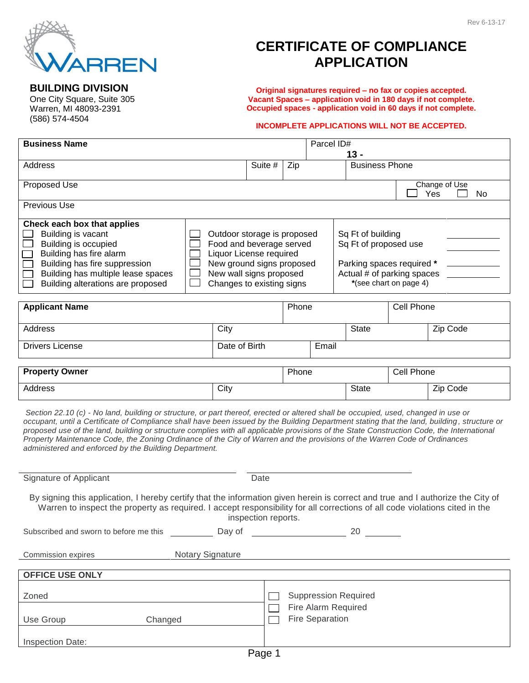

## **CERTIFICATE OF COMPLIANCE APPLICATION**

**Original signatures required – no fax or copies accepted. Vacant Spaces – application void in 180 days if not complete. Occupied spaces - application void in 60 days if not complete.**

## **INCOMPLETE APPLICATIONS WILL NOT BE ACCEPTED.**

| <b>Business Name</b><br>Parcel ID#<br>$13 -$                                                                                                                                                                                                                                                                                                                                                                                                                                                                                                                                                                         |                                                                                                                                                                                                                                                                                                            |       |                       |              |            |                                   |
|----------------------------------------------------------------------------------------------------------------------------------------------------------------------------------------------------------------------------------------------------------------------------------------------------------------------------------------------------------------------------------------------------------------------------------------------------------------------------------------------------------------------------------------------------------------------------------------------------------------------|------------------------------------------------------------------------------------------------------------------------------------------------------------------------------------------------------------------------------------------------------------------------------------------------------------|-------|-----------------------|--------------|------------|-----------------------------------|
| Address                                                                                                                                                                                                                                                                                                                                                                                                                                                                                                                                                                                                              |                                                                                                                                                                                                                                                                                                            | Zip   | <b>Business Phone</b> |              |            |                                   |
| Proposed Use                                                                                                                                                                                                                                                                                                                                                                                                                                                                                                                                                                                                         |                                                                                                                                                                                                                                                                                                            |       |                       |              |            | Change of Use<br>Yes<br><b>No</b> |
| Previous Use                                                                                                                                                                                                                                                                                                                                                                                                                                                                                                                                                                                                         |                                                                                                                                                                                                                                                                                                            |       |                       |              |            |                                   |
| Check each box that applies<br>Building is vacant<br>Building is occupied<br>Building has fire alarm<br>Building has fire suppression<br>Building has multiple lease spaces<br>Building alterations are proposed                                                                                                                                                                                                                                                                                                                                                                                                     | Outdoor storage is proposed<br>Sq Ft of building<br>Sq Ft of proposed use<br>Food and beverage served<br>Liquor License required<br>New ground signs proposed<br>Parking spaces required *<br>New wall signs proposed<br>Actual # of parking spaces<br>*(see chart on page 4)<br>Changes to existing signs |       |                       |              |            |                                   |
| <b>Applicant Name</b>                                                                                                                                                                                                                                                                                                                                                                                                                                                                                                                                                                                                |                                                                                                                                                                                                                                                                                                            | Phone |                       |              | Cell Phone |                                   |
| Address                                                                                                                                                                                                                                                                                                                                                                                                                                                                                                                                                                                                              | City                                                                                                                                                                                                                                                                                                       |       |                       | <b>State</b> |            | Zip Code                          |
| <b>Drivers License</b>                                                                                                                                                                                                                                                                                                                                                                                                                                                                                                                                                                                               | Date of Birth                                                                                                                                                                                                                                                                                              |       | Email                 |              |            |                                   |
| <b>Property Owner</b>                                                                                                                                                                                                                                                                                                                                                                                                                                                                                                                                                                                                |                                                                                                                                                                                                                                                                                                            | Phone |                       |              | Cell Phone |                                   |
| <b>Address</b>                                                                                                                                                                                                                                                                                                                                                                                                                                                                                                                                                                                                       | City                                                                                                                                                                                                                                                                                                       |       |                       | <b>State</b> |            | Zip Code                          |
| Section 22.10 (c) - No land, building or structure, or part thereof, erected or altered shall be occupied, used, changed in use or<br>occupant, until a Certificate of Compliance shall have been issued by the Building Department stating that the land, building, structure or<br>proposed use of the land, building or structure complies with all applicable provisions of the State Construction Code, the International<br>Property Maintenance Code, the Zoning Ordinance of the City of Warren and the provisions of the Warren Code of Ordinances<br>administered and enforced by the Building Department. |                                                                                                                                                                                                                                                                                                            |       |                       |              |            |                                   |
| Signature of Applicant                                                                                                                                                                                                                                                                                                                                                                                                                                                                                                                                                                                               | Date                                                                                                                                                                                                                                                                                                       |       |                       |              |            |                                   |
| By signing this application, I hereby certify that the information given herein is correct and true and I authorize the City of<br>Warren to inspect the property as required. I accept responsibility for all corrections of all code violations cited in the<br>inspection reports                                                                                                                                                                                                                                                                                                                                 |                                                                                                                                                                                                                                                                                                            |       |                       |              |            |                                   |

| Subscribed and sworn to before me this | Day of                  | 20                                            |  |  |  |  |
|----------------------------------------|-------------------------|-----------------------------------------------|--|--|--|--|
| <b>Commission expires</b>              | <b>Notary Signature</b> |                                               |  |  |  |  |
|                                        |                         |                                               |  |  |  |  |
| <b>OFFICE USE ONLY</b>                 |                         |                                               |  |  |  |  |
| Zoned                                  |                         | <b>Suppression Required</b>                   |  |  |  |  |
| Use Group                              | Changed                 | Fire Alarm Required<br><b>Fire Separation</b> |  |  |  |  |
|                                        |                         |                                               |  |  |  |  |

## **BUILDING DIVISION** One City Square, Suite 305

Inspection Date:

Warren, MI 48093-2391 (586) 574-4504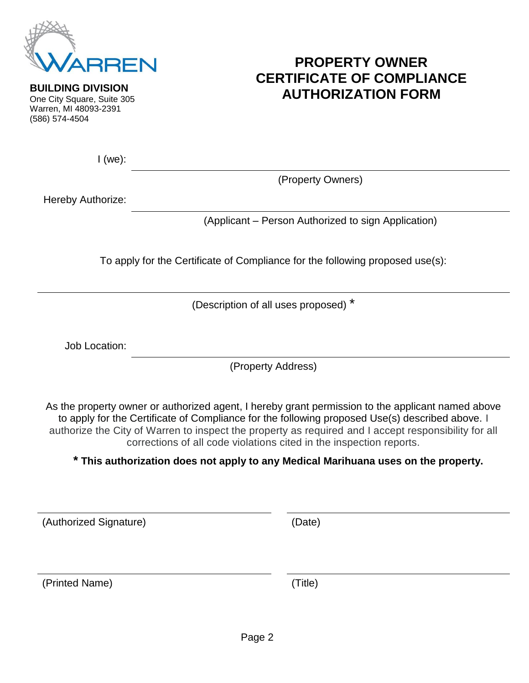

## **PROPERTY OWNER CERTIFICATE OF COMPLIANCE AUTHORIZATION FORM**

**BUILDING DIVISION** One City Square, Suite 305 Warren, MI 48093-2391 (586) 574-4504

I (we):

(Property Owners)

Hereby Authorize:

(Applicant – Person Authorized to sign Application)

To apply for the Certificate of Compliance for the following proposed use(s):

(Description of all uses proposed) \*

Job Location:

(Property Address)

As the property owner or authorized agent, I hereby grant permission to the applicant named above to apply for the Certificate of Compliance for the following proposed Use(s) described above. I authorize the City of Warren to inspect the property as required and I accept responsibility for all corrections of all code violations cited in the inspection reports.

**\* This authorization does not apply to any Medical Marihuana uses on the property.**

(Authorized Signature) (Date)

(Printed Name) (Title)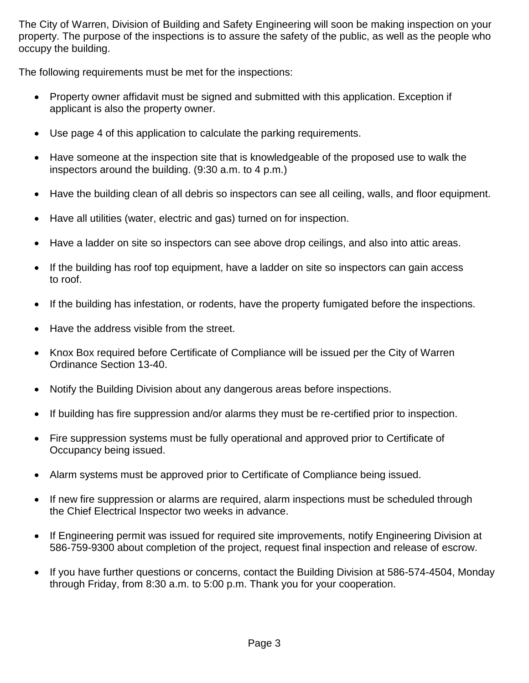The City of Warren, Division of Building and Safety Engineering will soon be making inspection on your property. The purpose of the inspections is to assure the safety of the public, as well as the people who occupy the building.

The following requirements must be met for the inspections:

- Property owner affidavit must be signed and submitted with this application. Exception if applicant is also the property owner.
- Use page 4 of this application to calculate the parking requirements.
- Have someone at the inspection site that is knowledgeable of the proposed use to walk the inspectors around the building. (9:30 a.m. to 4 p.m.)
- Have the building clean of all debris so inspectors can see all ceiling, walls, and floor equipment.
- Have all utilities (water, electric and gas) turned on for inspection.
- Have a ladder on site so inspectors can see above drop ceilings, and also into attic areas.
- If the building has roof top equipment, have a ladder on site so inspectors can gain access to roof.
- If the building has infestation, or rodents, have the property fumigated before the inspections.
- Have the address visible from the street.
- Knox Box required before Certificate of Compliance will be issued per the City of Warren Ordinance Section 13-40.
- Notify the Building Division about any dangerous areas before inspections.
- If building has fire suppression and/or alarms they must be re-certified prior to inspection.
- Fire suppression systems must be fully operational and approved prior to Certificate of Occupancy being issued.
- Alarm systems must be approved prior to Certificate of Compliance being issued.
- If new fire suppression or alarms are required, alarm inspections must be scheduled through the Chief Electrical Inspector two weeks in advance.
- If Engineering permit was issued for required site improvements, notify Engineering Division at 586-759-9300 about completion of the project, request final inspection and release of escrow.
- If you have further questions or concerns, contact the Building Division at 586-574-4504, Monday through Friday, from 8:30 a.m. to 5:00 p.m. Thank you for your cooperation.